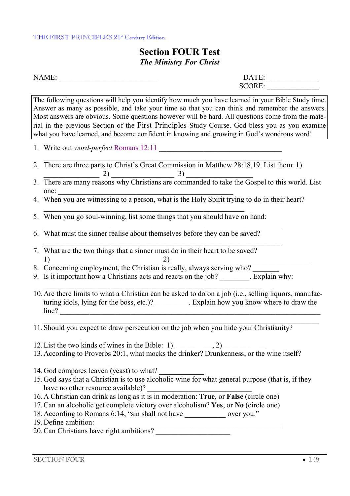## **Section FOUR Test**  *The Ministry For Christ*

NAME: \_\_\_\_\_\_\_\_\_\_\_\_\_\_\_\_\_\_\_\_\_\_\_\_\_\_ DATE: \_\_\_\_\_\_\_\_\_\_\_\_\_\_ SCORE:

The following questions will help you identify how much you have learned in your Bible Study time. Answer as many as possible, and take your time so that you can think and remember the answers. Most answers are obvious. Some questions however will be hard. All questions come from the material in the previous Section of the First Principles Study Course. God bless you as you examine what you have learned, and become confident in knowing and growing in God's wondrous word!

- 1. Write out *word-perfect* Romans 12:11
- 2. There are three parts to Christ's Great Commission in Matthew 28:18,19. List them: 1)  $(2)$   $(3)$
- 3. There are many reasons why Christians are commanded to take the Gospel to this world. List one:
- 4. When you are witnessing to a person, what is the Holy Spirit trying to do in their heart?
- 5. When you go soul-winning, list some things that you should have on hand:
- 6. What must the sinner realise about themselves before they can be saved?
- 7. What are the two things that a sinner must do in their heart to be saved? 1) 2)
- 8. Concerning employment, the Christian is really, always serving who?
- 9. Is it important how a Christians acts and reacts on the job? \_\_\_\_\_\_\_\_. Explain why:
- 10.Are there limits to what a Christian can be asked to do on a job (i.e., selling liquors, manufacturing idols, lying for the boss, etc.)? \_\_\_\_\_\_\_\_\_. Explain how you know where to draw the  $line?$
- 11.Should you expect to draw persecution on the job when you hide your Christianity?
- 12. List the two kinds of wines in the Bible:  $1)$  , 2)
- 13.According to Proverbs 20:1, what mocks the drinker? Drunkenness, or the wine itself?

14. God compares leaven (yeast) to what?

- 15.God says that a Christian is to use alcoholic wine for what general purpose (that is, if they have no other resource available)?
- 16.A Christian can drink as long as it is in moderation: **True**, or **False** (circle one)
- 17.Can an alcoholic get complete victory over alcoholism? **Yes**, or **No** (circle one)
- 18. According to Romans 6:14, "sin shall not have over you."
- 19. Define ambition:

 $\frac{1}{2}$ 

20. Can Christians have right ambitions?